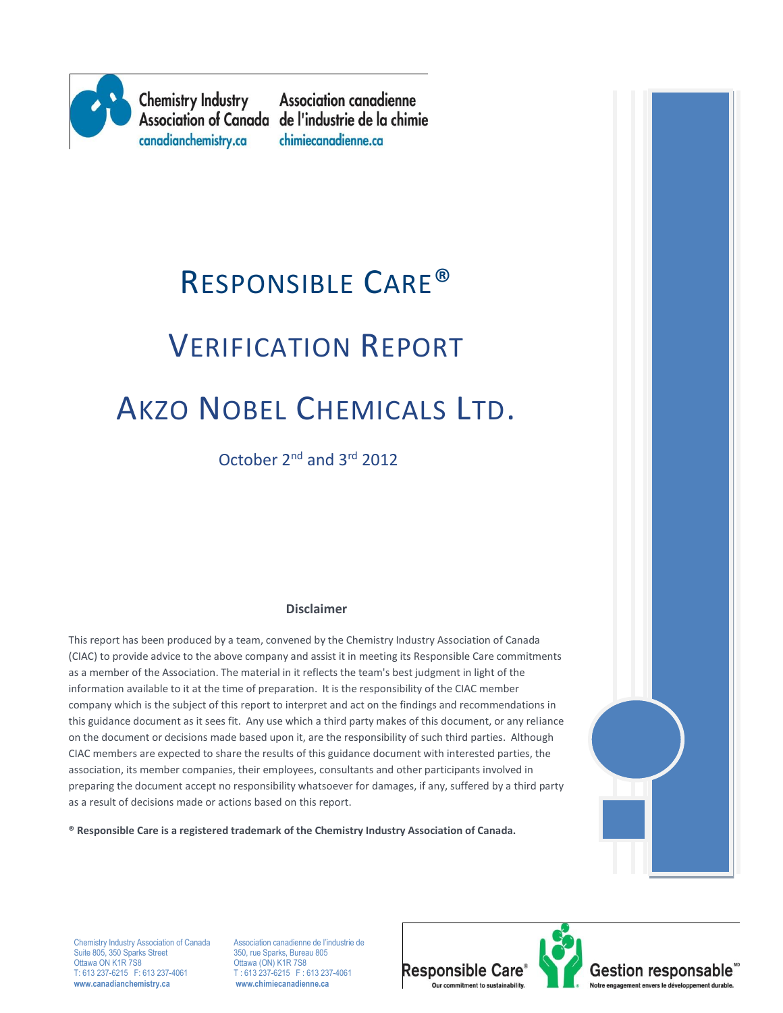

**Chemistry Industry** canadianchemistry.ca

**Association canadienne** Association of Canada de l'industrie de la chimie chimiecanadienne.ca

# RESPONSIBLE CARE® VERIFICATION REPORT AKZO NOBEL CHEMICALS LTD.

October 2nd and 3rd 2012

#### **Disclaimer**

This report has been produced by a team, convened by the Chemistry Industry Association of Canada (CIAC) to provide advice to the above company and assist it in meeting its Responsible Care commitments as a member of the Association. The material in it reflects the team's best judgment in light of the information available to it at the time of preparation. It is the responsibility of the CIAC member company which is the subject of this report to interpret and act on the findings and recommendations in this guidance document as it sees fit. Any use which a third party makes of this document, or any reliance on the document or decisions made based upon it, are the responsibility of such third parties. Although CIAC members are expected to share the results of this guidance document with interested parties, the association, its member companies, their employees, consultants and other participants involved in preparing the document accept no responsibility whatsoever for damages, if any, suffered by a third party as a result of decisions made or actions based on this report.



**® Responsible Care is a registered trademark of the Chemistry Industry Association of Canada.** 

Suite 805, 350 Sparks Street<br>Ottawa ON K1R 7S8 Ottawa ON K1R 7S8 CHE 2012 CHE CON K1R 7S8<br>T: 613 237-6215 F: 613 237-4061 T: 613 237-6215 F: 0 **www.canadianchemistry.ca www.chimiecanadienne.ca**

Chemistry Industry Association of Canada Association canadienne de l'industrie de<br>
Suite 805, 350 Sparks Street<br>
350, rue Sparks, Bureau 805  $T: 613\overline{237-6215}$  F: 613 237-4061<br>www.chimiecanadienne.ca



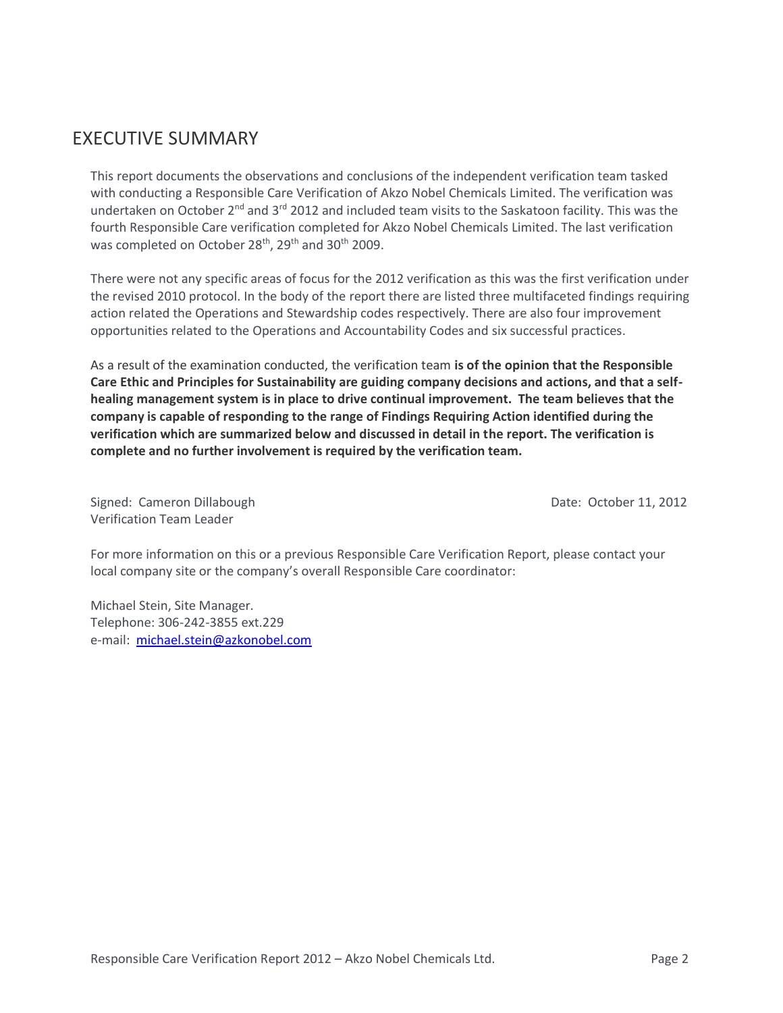# EXECUTIVE SUMMARY

This report documents the observations and conclusions of the independent verification team tasked with conducting a Responsible Care Verification of Akzo Nobel Chemicals Limited. The verification was undertaken on October 2<sup>nd</sup> and 3<sup>rd</sup> 2012 and included team visits to the Saskatoon facility. This was the fourth Responsible Care verification completed for Akzo Nobel Chemicals Limited. The last verification was completed on October 28<sup>th</sup>, 29<sup>th</sup> and 30<sup>th</sup> 2009.

There were not any specific areas of focus for the 2012 verification as this was the first verification under the revised 2010 protocol. In the body of the report there are listed three multifaceted findings requiring action related the Operations and Stewardship codes respectively. There are also four improvement opportunities related to the Operations and Accountability Codes and six successful practices.

As a result of the examination conducted, the verification team **is of the opinion that the Responsible Care Ethic and Principles for Sustainability are guiding company decisions and actions, and that a selfhealing management system is in place to drive continual improvement. The team believes that the company is capable of responding to the range of Findings Requiring Action identified during the verification which are summarized below and discussed in detail in the report. The verification is complete and no further involvement is required by the verification team.**

Signed: Cameron Dillabough Date: October 11, 2012 Verification Team Leader

For more information on this or a previous Responsible Care Verification Report, please contact your local company site or the company's overall Responsible Care coordinator:

Michael Stein, Site Manager. Telephone: 306-242-3855 ext.229 e-mail: [michael.stein@azkonobel.com](mailto:michael.stein@azkonobel.com)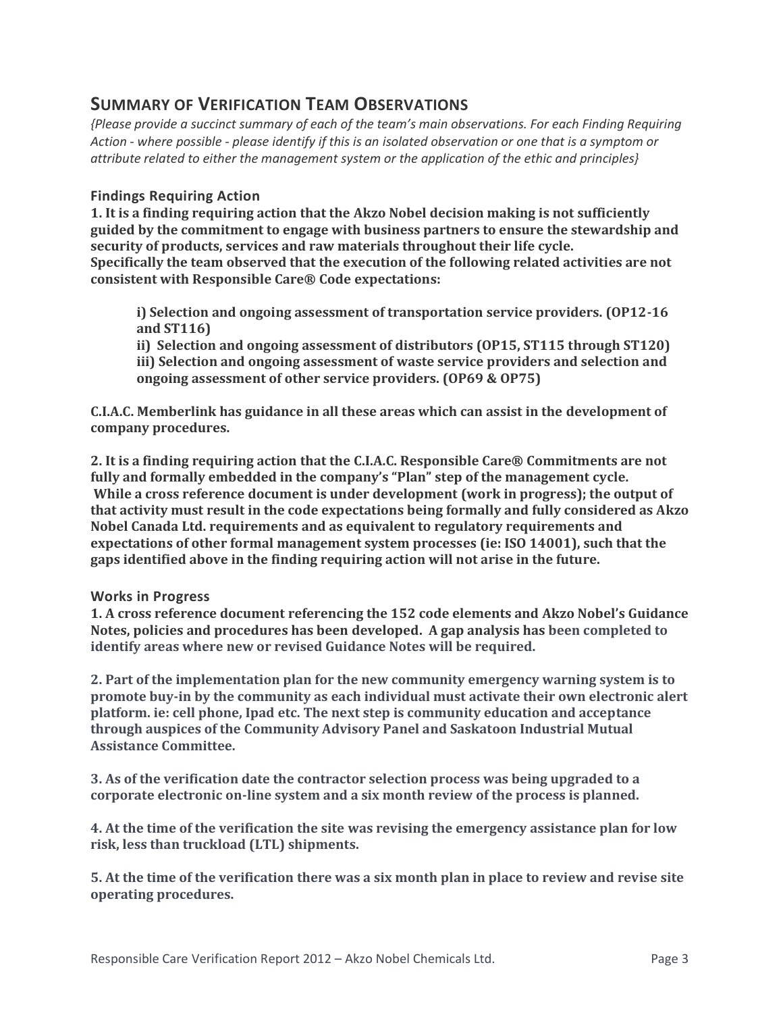## **SUMMARY OF VERIFICATION TEAM OBSERVATIONS**

*{Please provide a succinct summary of each of the team's main observations. For each Finding Requiring Action - where possible - please identify if this is an isolated observation or one that is a symptom or attribute related to either the management system or the application of the ethic and principles}*

#### **Findings Requiring Action**

**1. It is a finding requiring action that the Akzo Nobel decision making is not sufficiently guided by the commitment to engage with business partners to ensure the stewardship and security of products, services and raw materials throughout their life cycle. Specifically the team observed that the execution of the following related activities are not consistent with Responsible Care® Code expectations:**

**i) Selection and ongoing assessment of transportation service providers. (OP12-16 and ST116)**

**ii) Selection and ongoing assessment of distributors (OP15, ST115 through ST120) iii) Selection and ongoing assessment of waste service providers and selection and ongoing assessment of other service providers. (OP69 & OP75)**

**C.I.A.C. Memberlink has guidance in all these areas which can assist in the development of company procedures.**

**2. It is a finding requiring action that the C.I.A.C. Responsible Care® Commitments are not fully and formally embedded in the company's "Plan" step of the management cycle. While a cross reference document is under development (work in progress); the output of that activity must result in the code expectations being formally and fully considered as Akzo Nobel Canada Ltd. requirements and as equivalent to regulatory requirements and expectations of other formal management system processes (ie: ISO 14001), such that the gaps identified above in the finding requiring action will not arise in the future.** 

#### **Works in Progress**

**1. A cross reference document referencing the 152 code elements and Akzo Nobel's Guidance Notes, policies and procedures has been developed. A gap analysis has been completed to identify areas where new or revised Guidance Notes will be required.** 

**2. Part of the implementation plan for the new community emergency warning system is to promote buy-in by the community as each individual must activate their own electronic alert platform. ie: cell phone, Ipad etc. The next step is community education and acceptance through auspices of the Community Advisory Panel and Saskatoon Industrial Mutual Assistance Committee.**

**3. As of the verification date the contractor selection process was being upgraded to a corporate electronic on-line system and a six month review of the process is planned.**

**4. At the time of the verification the site was revising the emergency assistance plan for low risk, less than truckload (LTL) shipments.**

**5. At the time of the verification there was a six month plan in place to review and revise site operating procedures.**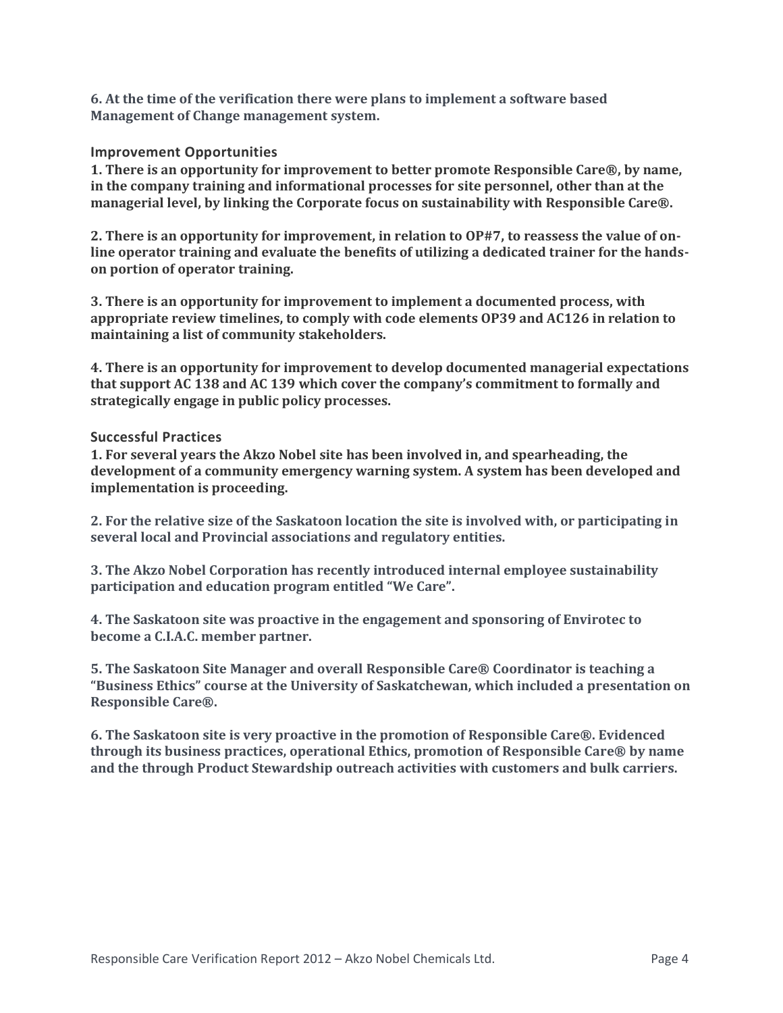**6. At the time of the verification there were plans to implement a software based Management of Change management system.**

#### **Improvement Opportunities**

**1. There is an opportunity for improvement to better promote Responsible Care®, by name, in the company training and informational processes for site personnel, other than at the managerial level, by linking the Corporate focus on sustainability with Responsible Care®.** 

**2. There is an opportunity for improvement, in relation to OP#7, to reassess the value of online operator training and evaluate the benefits of utilizing a dedicated trainer for the handson portion of operator training.** 

**3. There is an opportunity for improvement to implement a documented process, with appropriate review timelines, to comply with code elements OP39 and AC126 in relation to maintaining a list of community stakeholders.**

**4. There is an opportunity for improvement to develop documented managerial expectations that support AC 138 and AC 139 which cover the company's commitment to formally and strategically engage in public policy processes.** 

#### **Successful Practices**

**1. For several years the Akzo Nobel site has been involved in, and spearheading, the development of a community emergency warning system. A system has been developed and implementation is proceeding.**

**2. For the relative size of the Saskatoon location the site is involved with, or participating in several local and Provincial associations and regulatory entities.**

**3. The Akzo Nobel Corporation has recently introduced internal employee sustainability participation and education program entitled "We Care".**

**4. The Saskatoon site was proactive in the engagement and sponsoring of Envirotec to become a C.I.A.C. member partner.**

**5. The Saskatoon Site Manager and overall Responsible Care® Coordinator is teaching a "Business Ethics" course at the University of Saskatchewan, which included a presentation on Responsible Care®.**

**6. The Saskatoon site is very proactive in the promotion of Responsible Care®. Evidenced through its business practices, operational Ethics, promotion of Responsible Care® by name and the through Product Stewardship outreach activities with customers and bulk carriers.**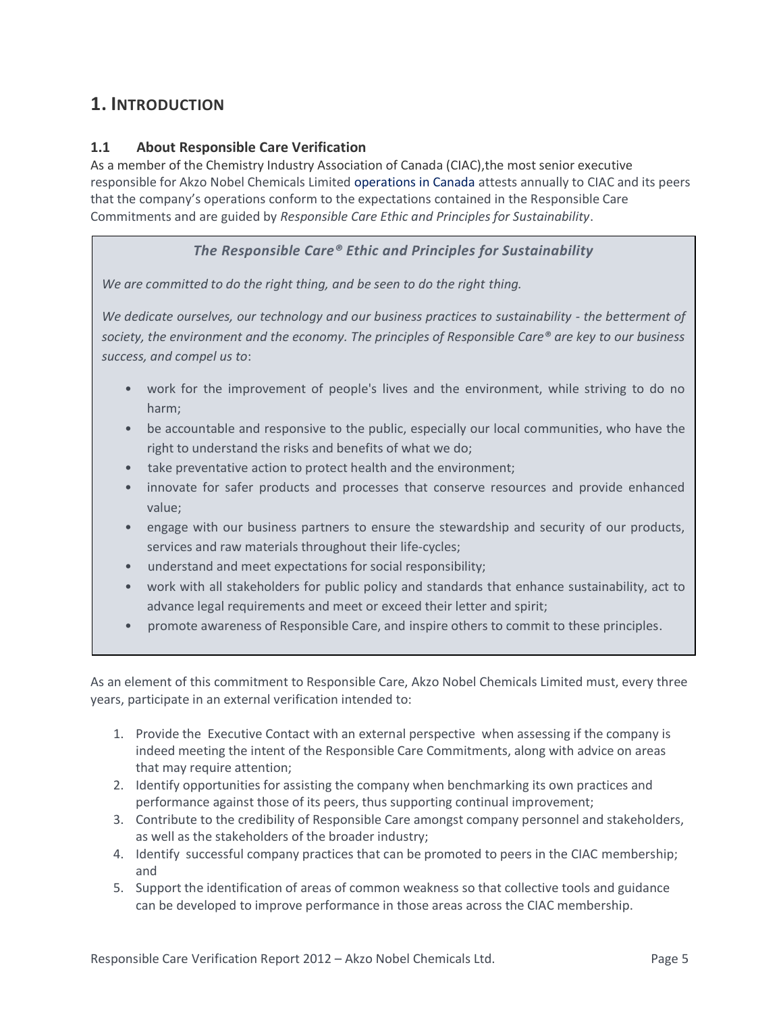# **1. INTRODUCTION**

#### **1.1 About Responsible Care Verification**

As a member of the Chemistry Industry Association of Canada (CIAC),the most senior executive responsible for Akzo Nobel Chemicals Limited operations in Canada attests annually to CIAC and its peers that the company's operations conform to the expectations contained in the Responsible Care Commitments and are guided by *Responsible Care Ethic and Principles for Sustainability*.

#### *The Responsible Care® Ethic and Principles for Sustainability*

*We are committed to do the right thing, and be seen to do the right thing.*

*We dedicate ourselves, our technology and our business practices to sustainability - the betterment of society, the environment and the economy. The principles of Responsible Care® are key to our business success, and compel us to*:

- work for the improvement of people's lives and the environment, while striving to do no harm;
- be accountable and responsive to the public, especially our local communities, who have the right to understand the risks and benefits of what we do;
- take preventative action to protect health and the environment;
- innovate for safer products and processes that conserve resources and provide enhanced value;
- engage with our business partners to ensure the stewardship and security of our products, services and raw materials throughout their life-cycles;
- understand and meet expectations for social responsibility;
- work with all stakeholders for public policy and standards that enhance sustainability, act to advance legal requirements and meet or exceed their letter and spirit;
- promote awareness of Responsible Care, and inspire others to commit to these principles.

As an element of this commitment to Responsible Care, Akzo Nobel Chemicals Limited must, every three years, participate in an external verification intended to:

- 1. Provide the Executive Contact with an external perspective when assessing if the company is indeed meeting the intent of the Responsible Care Commitments, along with advice on areas that may require attention;
- 2. Identify opportunities for assisting the company when benchmarking its own practices and performance against those of its peers, thus supporting continual improvement;
- 3. Contribute to the credibility of Responsible Care amongst company personnel and stakeholders, as well as the stakeholders of the broader industry;
- 4. Identify successful company practices that can be promoted to peers in the CIAC membership; and
- 5. Support the identification of areas of common weakness so that collective tools and guidance can be developed to improve performance in those areas across the CIAC membership.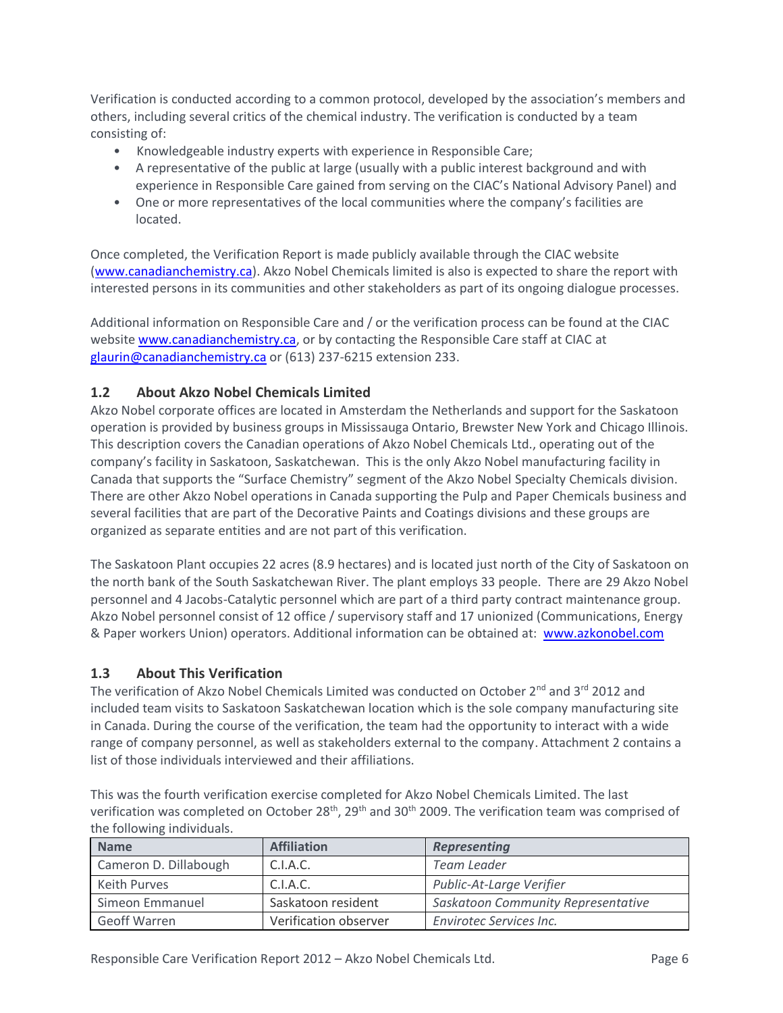Verification is conducted according to a common protocol, developed by the association's members and others, including several critics of the chemical industry. The verification is conducted by a team consisting of:

- Knowledgeable industry experts with experience in Responsible Care;
- A representative of the public at large (usually with a public interest background and with experience in Responsible Care gained from serving on the CIAC's National Advisory Panel) and
- One or more representatives of the local communities where the company's facilities are located.

Once completed, the Verification Report is made publicly available through the CIAC website [\(www.canadianchemistry.ca\)](http://www.canadianchemistry.ca/). Akzo Nobel Chemicals limited is also is expected to share the report with interested persons in its communities and other stakeholders as part of its ongoing dialogue processes.

Additional information on Responsible Care and / or the verification process can be found at the CIAC website [www.canadianchemistry.ca,](http://www.canadianchemistry.ca/) or by contacting the Responsible Care staff at CIAC at [glaurin@canadianchemistry.ca](mailto:glaurin@canadianchemistry.ca) or (613) 237-6215 extension 233.

#### **1.2 About Akzo Nobel Chemicals Limited**

Akzo Nobel corporate offices are located in Amsterdam the Netherlands and support for the Saskatoon operation is provided by business groups in Mississauga Ontario, Brewster New York and Chicago Illinois. This description covers the Canadian operations of Akzo Nobel Chemicals Ltd., operating out of the company's facility in Saskatoon, Saskatchewan. This is the only Akzo Nobel manufacturing facility in Canada that supports the "Surface Chemistry" segment of the Akzo Nobel Specialty Chemicals division. There are other Akzo Nobel operations in Canada supporting the Pulp and Paper Chemicals business and several facilities that are part of the Decorative Paints and Coatings divisions and these groups are organized as separate entities and are not part of this verification.

The Saskatoon Plant occupies 22 acres (8.9 hectares) and is located just north of the City of Saskatoon on the north bank of the South Saskatchewan River. The plant employs 33 people. There are 29 Akzo Nobel personnel and 4 Jacobs-Catalytic personnel which are part of a third party contract maintenance group. Akzo Nobel personnel consist of 12 office / supervisory staff and 17 unionized (Communications, Energy & Paper workers Union) operators. Additional information can be obtained at: [www.azkonobel.com](http://www.azkonobel.com/) 

#### **1.3 About This Verification**

The verification of Akzo Nobel Chemicals Limited was conducted on October  $2^{nd}$  and  $3^{rd}$  2012 and included team visits to Saskatoon Saskatchewan location which is the sole company manufacturing site in Canada. During the course of the verification, the team had the opportunity to interact with a wide range of company personnel, as well as stakeholders external to the company. Attachment 2 contains a list of those individuals interviewed and their affiliations.

This was the fourth verification exercise completed for Akzo Nobel Chemicals Limited. The last verification was completed on October 28<sup>th</sup>, 29<sup>th</sup> and 30<sup>th</sup> 2009. The verification team was comprised of the following individuals.

| <b>Name</b>           | <b>Affiliation</b>    | <b>Representing</b>                |
|-----------------------|-----------------------|------------------------------------|
| Cameron D. Dillabough | C.I.A.C.              | Team Leader                        |
| Keith Purves          | C.I.A.C.              | Public-At-Large Verifier           |
| Simeon Emmanuel       | Saskatoon resident    | Saskatoon Community Representative |
| Geoff Warren          | Verification observer | Envirotec Services Inc.            |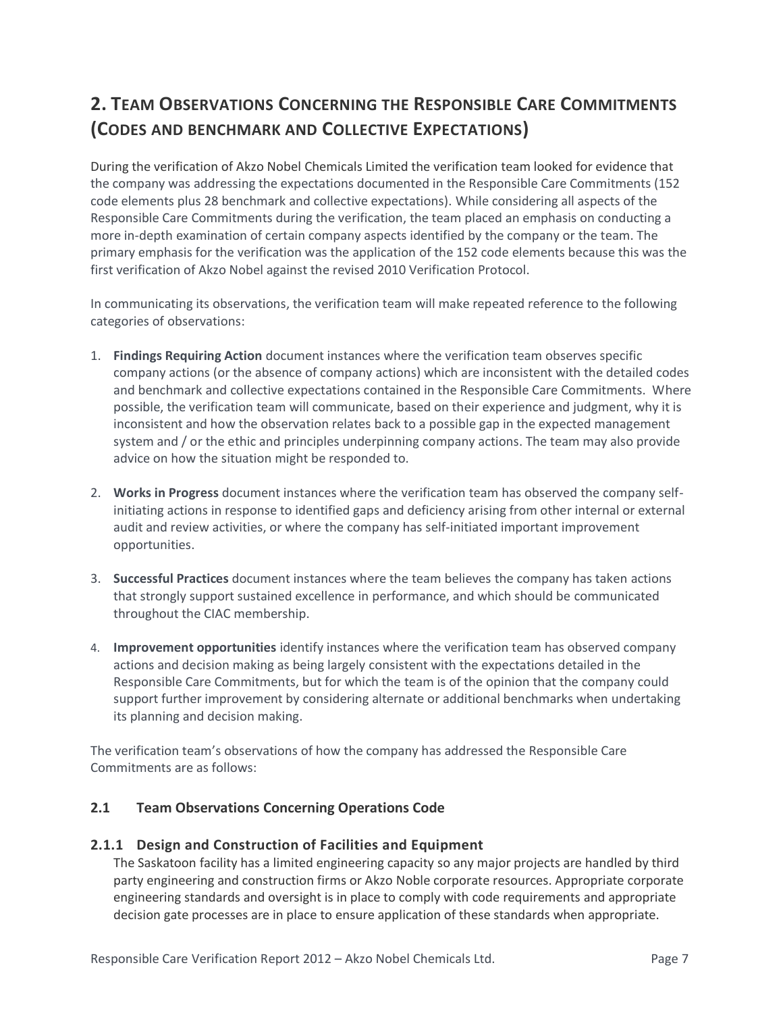# **2. TEAM OBSERVATIONS CONCERNING THE RESPONSIBLE CARE COMMITMENTS (CODES AND BENCHMARK AND COLLECTIVE EXPECTATIONS)**

During the verification of Akzo Nobel Chemicals Limited the verification team looked for evidence that the company was addressing the expectations documented in the Responsible Care Commitments (152 code elements plus 28 benchmark and collective expectations). While considering all aspects of the Responsible Care Commitments during the verification, the team placed an emphasis on conducting a more in-depth examination of certain company aspects identified by the company or the team. The primary emphasis for the verification was the application of the 152 code elements because this was the first verification of Akzo Nobel against the revised 2010 Verification Protocol.

In communicating its observations, the verification team will make repeated reference to the following categories of observations:

- 1. **Findings Requiring Action** document instances where the verification team observes specific company actions (or the absence of company actions) which are inconsistent with the detailed codes and benchmark and collective expectations contained in the Responsible Care Commitments. Where possible, the verification team will communicate, based on their experience and judgment, why it is inconsistent and how the observation relates back to a possible gap in the expected management system and / or the ethic and principles underpinning company actions. The team may also provide advice on how the situation might be responded to.
- 2. **Works in Progress** document instances where the verification team has observed the company selfinitiating actions in response to identified gaps and deficiency arising from other internal or external audit and review activities, or where the company has self-initiated important improvement opportunities.
- 3. **Successful Practices** document instances where the team believes the company has taken actions that strongly support sustained excellence in performance, and which should be communicated throughout the CIAC membership.
- 4. **Improvement opportunities** identify instances where the verification team has observed company actions and decision making as being largely consistent with the expectations detailed in the Responsible Care Commitments, but for which the team is of the opinion that the company could support further improvement by considering alternate or additional benchmarks when undertaking its planning and decision making.

The verification team's observations of how the company has addressed the Responsible Care Commitments are as follows:

#### **2.1 Team Observations Concerning Operations Code**

#### **2.1.1 Design and Construction of Facilities and Equipment**

The Saskatoon facility has a limited engineering capacity so any major projects are handled by third party engineering and construction firms or Akzo Noble corporate resources. Appropriate corporate engineering standards and oversight is in place to comply with code requirements and appropriate decision gate processes are in place to ensure application of these standards when appropriate.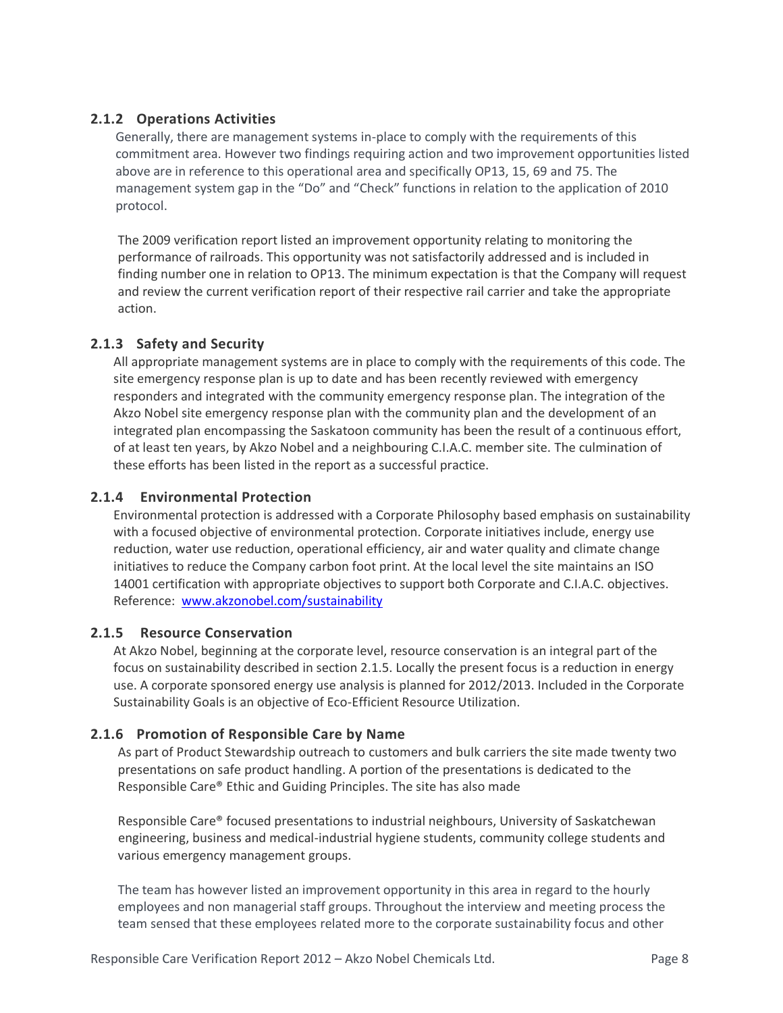#### **2.1.2 Operations Activities**

Generally, there are management systems in-place to comply with the requirements of this commitment area. However two findings requiring action and two improvement opportunities listed above are in reference to this operational area and specifically OP13, 15, 69 and 75. The management system gap in the "Do" and "Check" functions in relation to the application of 2010 protocol.

The 2009 verification report listed an improvement opportunity relating to monitoring the performance of railroads. This opportunity was not satisfactorily addressed and is included in finding number one in relation to OP13. The minimum expectation is that the Company will request and review the current verification report of their respective rail carrier and take the appropriate action.

#### **2.1.3 Safety and Security**

All appropriate management systems are in place to comply with the requirements of this code. The site emergency response plan is up to date and has been recently reviewed with emergency responders and integrated with the community emergency response plan. The integration of the Akzo Nobel site emergency response plan with the community plan and the development of an integrated plan encompassing the Saskatoon community has been the result of a continuous effort, of at least ten years, by Akzo Nobel and a neighbouring C.I.A.C. member site. The culmination of these efforts has been listed in the report as a successful practice.

#### **2.1.4 Environmental Protection**

Environmental protection is addressed with a Corporate Philosophy based emphasis on sustainability with a focused objective of environmental protection. Corporate initiatives include, energy use reduction, water use reduction, operational efficiency, air and water quality and climate change initiatives to reduce the Company carbon foot print. At the local level the site maintains an ISO 14001 certification with appropriate objectives to support both Corporate and C.I.A.C. objectives. Reference: [www.akzonobel.com/sustainability](http://www.akzonobel.com/sustainability)

#### **2.1.5 Resource Conservation**

At Akzo Nobel, beginning at the corporate level, resource conservation is an integral part of the focus on sustainability described in section 2.1.5. Locally the present focus is a reduction in energy use. A corporate sponsored energy use analysis is planned for 2012/2013. Included in the Corporate Sustainability Goals is an objective of Eco-Efficient Resource Utilization.

#### **2.1.6 Promotion of Responsible Care by Name**

 As part of Product Stewardship outreach to customers and bulk carriers the site made twenty two presentations on safe product handling. A portion of the presentations is dedicated to the Responsible Care® Ethic and Guiding Principles. The site has also made

 Responsible Care® focused presentations to industrial neighbours, University of Saskatchewan engineering, business and medical-industrial hygiene students, community college students and various emergency management groups.

The team has however listed an improvement opportunity in this area in regard to the hourly employees and non managerial staff groups. Throughout the interview and meeting process the team sensed that these employees related more to the corporate sustainability focus and other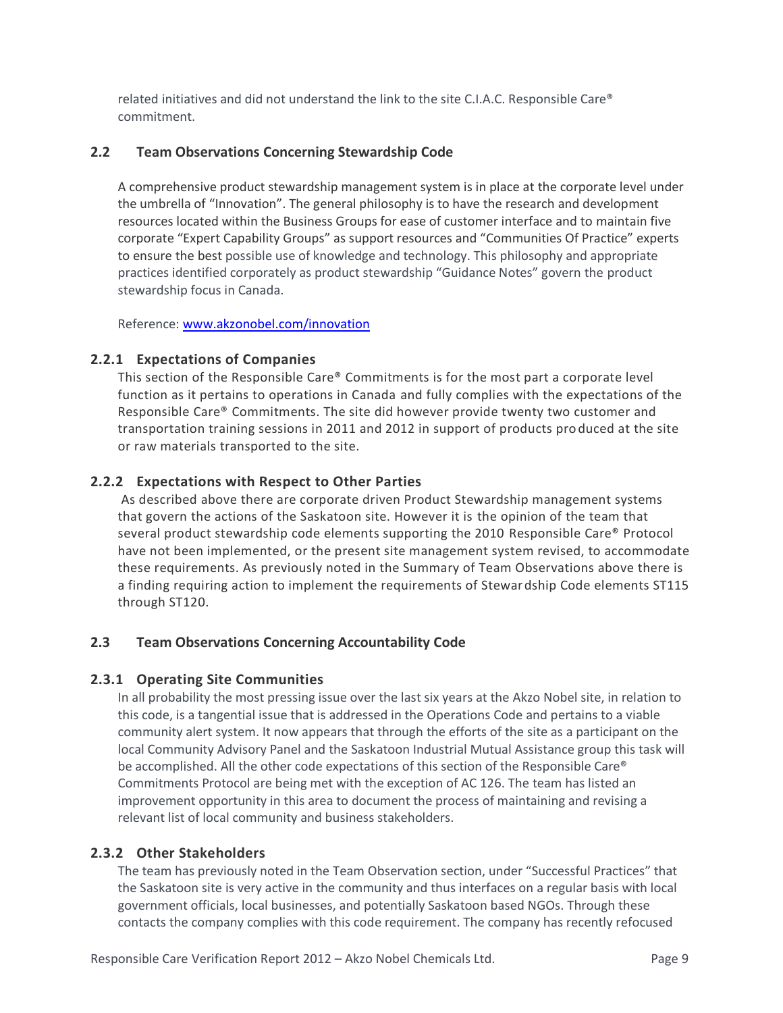related initiatives and did not understand the link to the site C.I.A.C. Responsible Care® commitment.

#### **2.2 Team Observations Concerning Stewardship Code**

A comprehensive product stewardship management system is in place at the corporate level under the umbrella of "Innovation". The general philosophy is to have the research and development resources located within the Business Groups for ease of customer interface and to maintain five corporate "Expert Capability Groups" as support resources and "Communities Of Practice" experts to ensure the best possible use of knowledge and technology. This philosophy and appropriate practices identified corporately as product stewardship "Guidance Notes" govern the product stewardship focus in Canada.

Reference: [www.akzonobel.com/innovation](http://www.akzonobel.com/innovation) 

#### **2.2.1 Expectations of Companies**

This section of the Responsible Care® Commitments is for the most part a corporate level function as it pertains to operations in Canada and fully complies with the expectations of the Responsible Care® Commitments. The site did however provide twenty two customer and transportation training sessions in 2011 and 2012 in support of products pro duced at the site or raw materials transported to the site.

#### **2.2.2 Expectations with Respect to Other Parties**

As described above there are corporate driven Product Stewardship management systems that govern the actions of the Saskatoon site. However it is the opinion of the team that several product stewardship code elements supporting the 2010 Responsible Care® Protocol have not been implemented, or the present site management system revised, to accommodate these requirements. As previously noted in the Summary of Team Observations above there is a finding requiring action to implement the requirements of Stewardship Code elements ST115 through ST120.

#### **2.3 Team Observations Concerning Accountability Code**

#### **2.3.1 Operating Site Communities**

In all probability the most pressing issue over the last six years at the Akzo Nobel site, in relation to this code, is a tangential issue that is addressed in the Operations Code and pertains to a viable community alert system. It now appears that through the efforts of the site as a participant on the local Community Advisory Panel and the Saskatoon Industrial Mutual Assistance group this task will be accomplished. All the other code expectations of this section of the Responsible Care® Commitments Protocol are being met with the exception of AC 126. The team has listed an improvement opportunity in this area to document the process of maintaining and revising a relevant list of local community and business stakeholders.

#### **2.3.2 Other Stakeholders**

The team has previously noted in the Team Observation section, under "Successful Practices" that the Saskatoon site is very active in the community and thus interfaces on a regular basis with local government officials, local businesses, and potentially Saskatoon based NGOs. Through these contacts the company complies with this code requirement. The company has recently refocused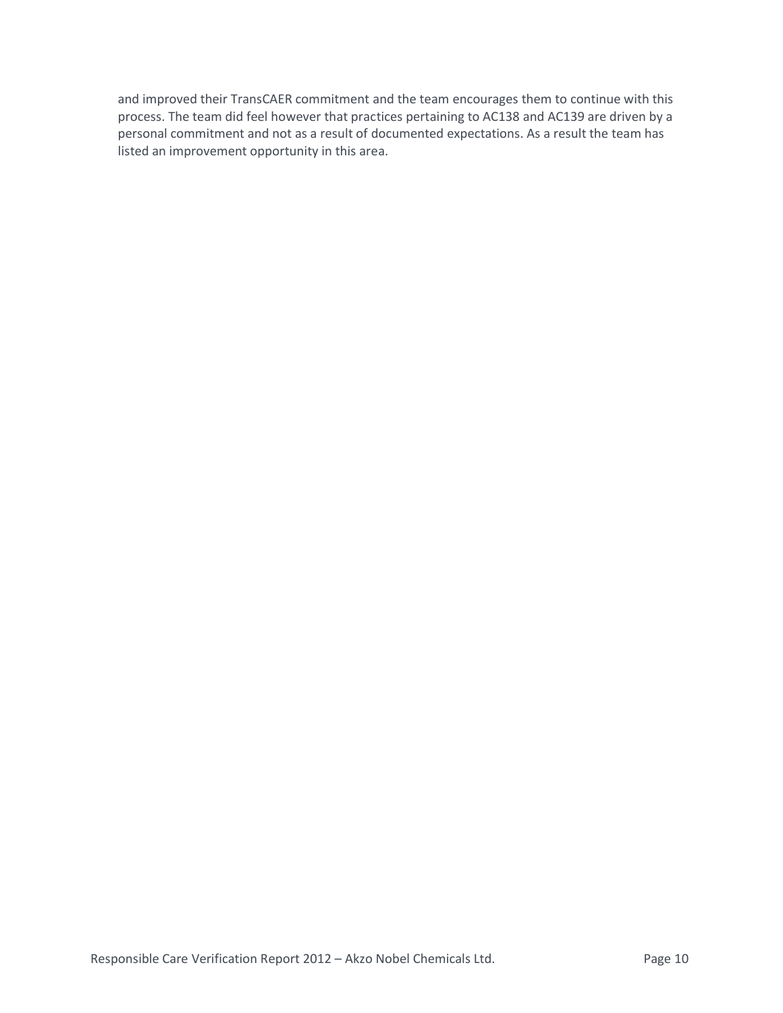and improved their TransCAER commitment and the team encourages them to continue with this process. The team did feel however that practices pertaining to AC138 and AC139 are driven by a personal commitment and not as a result of documented expectations. As a result the team has listed an improvement opportunity in this area.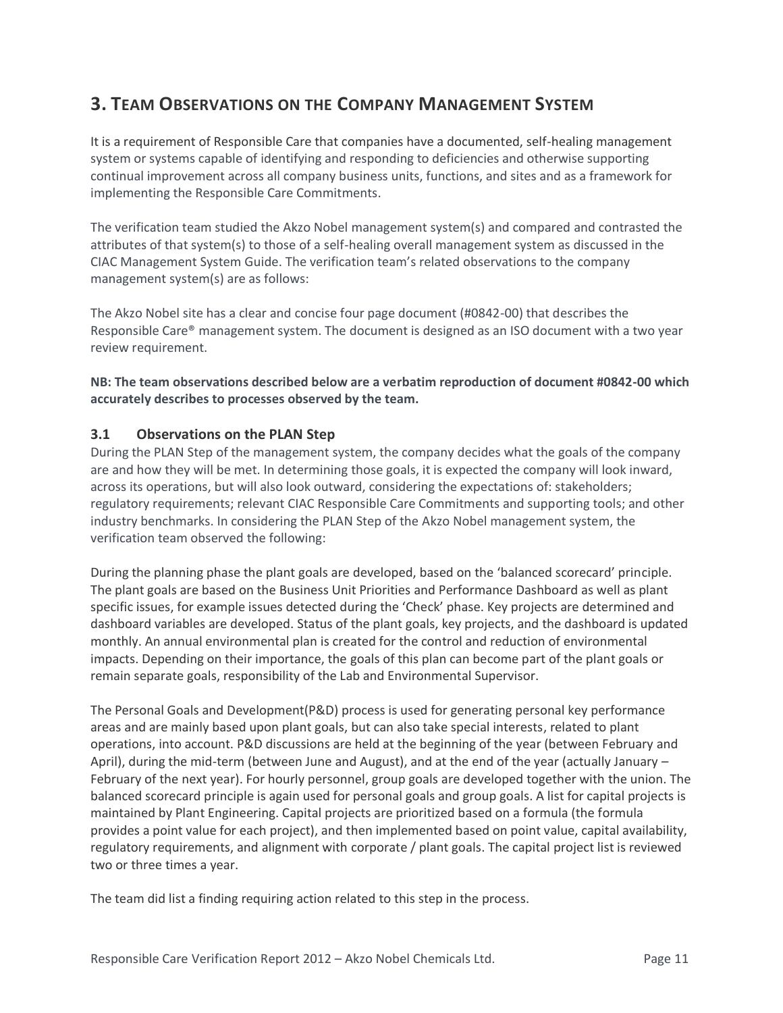# **3. TEAM OBSERVATIONS ON THE COMPANY MANAGEMENT SYSTEM**

It is a requirement of Responsible Care that companies have a documented, self-healing management system or systems capable of identifying and responding to deficiencies and otherwise supporting continual improvement across all company business units, functions, and sites and as a framework for implementing the Responsible Care Commitments.

The verification team studied the Akzo Nobel management system(s) and compared and contrasted the attributes of that system(s) to those of a self-healing overall management system as discussed in the CIAC Management System Guide. The verification team's related observations to the company management system(s) are as follows:

The Akzo Nobel site has a clear and concise four page document (#0842-00) that describes the Responsible Care® management system. The document is designed as an ISO document with a two year review requirement.

**NB: The team observations described below are a verbatim reproduction of document #0842-00 which accurately describes to processes observed by the team.**

#### **3.1 Observations on the PLAN Step**

During the PLAN Step of the management system, the company decides what the goals of the company are and how they will be met. In determining those goals, it is expected the company will look inward, across its operations, but will also look outward, considering the expectations of: stakeholders; regulatory requirements; relevant CIAC Responsible Care Commitments and supporting tools; and other industry benchmarks. In considering the PLAN Step of the Akzo Nobel management system, the verification team observed the following:

During the planning phase the plant goals are developed, based on the 'balanced scorecard' principle. The plant goals are based on the Business Unit Priorities and Performance Dashboard as well as plant specific issues, for example issues detected during the 'Check' phase. Key projects are determined and dashboard variables are developed. Status of the plant goals, key projects, and the dashboard is updated monthly. An annual environmental plan is created for the control and reduction of environmental impacts. Depending on their importance, the goals of this plan can become part of the plant goals or remain separate goals, responsibility of the Lab and Environmental Supervisor.

The Personal Goals and Development(P&D) process is used for generating personal key performance areas and are mainly based upon plant goals, but can also take special interests, related to plant operations, into account. P&D discussions are held at the beginning of the year (between February and April), during the mid-term (between June and August), and at the end of the year (actually January – February of the next year). For hourly personnel, group goals are developed together with the union. The balanced scorecard principle is again used for personal goals and group goals. A list for capital projects is maintained by Plant Engineering. Capital projects are prioritized based on a formula (the formula provides a point value for each project), and then implemented based on point value, capital availability, regulatory requirements, and alignment with corporate / plant goals. The capital project list is reviewed two or three times a year.

The team did list a finding requiring action related to this step in the process.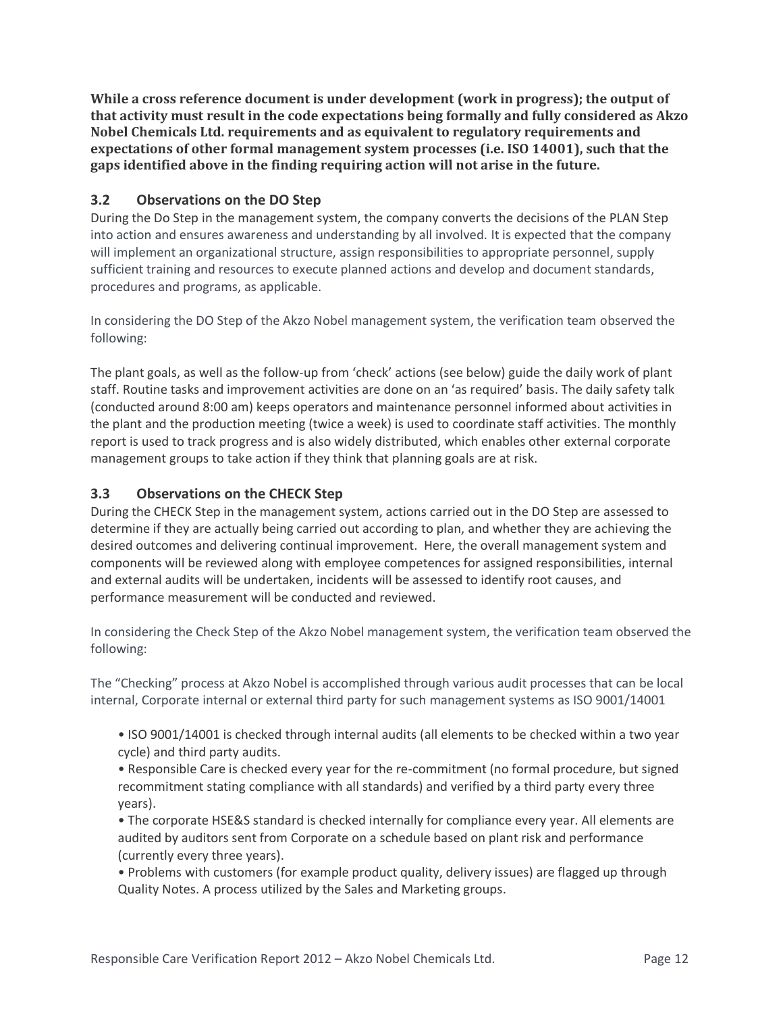**While a cross reference document is under development (work in progress); the output of that activity must result in the code expectations being formally and fully considered as Akzo Nobel Chemicals Ltd. requirements and as equivalent to regulatory requirements and expectations of other formal management system processes (i.e. ISO 14001), such that the gaps identified above in the finding requiring action will not arise in the future.** 

#### **3.2 Observations on the DO Step**

During the Do Step in the management system, the company converts the decisions of the PLAN Step into action and ensures awareness and understanding by all involved. It is expected that the company will implement an organizational structure, assign responsibilities to appropriate personnel, supply sufficient training and resources to execute planned actions and develop and document standards, procedures and programs, as applicable.

In considering the DO Step of the Akzo Nobel management system, the verification team observed the following:

The plant goals, as well as the follow-up from 'check' actions (see below) guide the daily work of plant staff. Routine tasks and improvement activities are done on an 'as required' basis. The daily safety talk (conducted around 8:00 am) keeps operators and maintenance personnel informed about activities in the plant and the production meeting (twice a week) is used to coordinate staff activities. The monthly report is used to track progress and is also widely distributed, which enables other external corporate management groups to take action if they think that planning goals are at risk.

#### **3.3 Observations on the CHECK Step**

During the CHECK Step in the management system, actions carried out in the DO Step are assessed to determine if they are actually being carried out according to plan, and whether they are achieving the desired outcomes and delivering continual improvement. Here, the overall management system and components will be reviewed along with employee competences for assigned responsibilities, internal and external audits will be undertaken, incidents will be assessed to identify root causes, and performance measurement will be conducted and reviewed.

In considering the Check Step of the Akzo Nobel management system, the verification team observed the following:

The "Checking" process at Akzo Nobel is accomplished through various audit processes that can be local internal, Corporate internal or external third party for such management systems as ISO 9001/14001

• ISO 9001/14001 is checked through internal audits (all elements to be checked within a two year cycle) and third party audits.

• Responsible Care is checked every year for the re-commitment (no formal procedure, but signed recommitment stating compliance with all standards) and verified by a third party every three years).

• The corporate HSE&S standard is checked internally for compliance every year. All elements are audited by auditors sent from Corporate on a schedule based on plant risk and performance (currently every three years).

• Problems with customers (for example product quality, delivery issues) are flagged up through Quality Notes. A process utilized by the Sales and Marketing groups.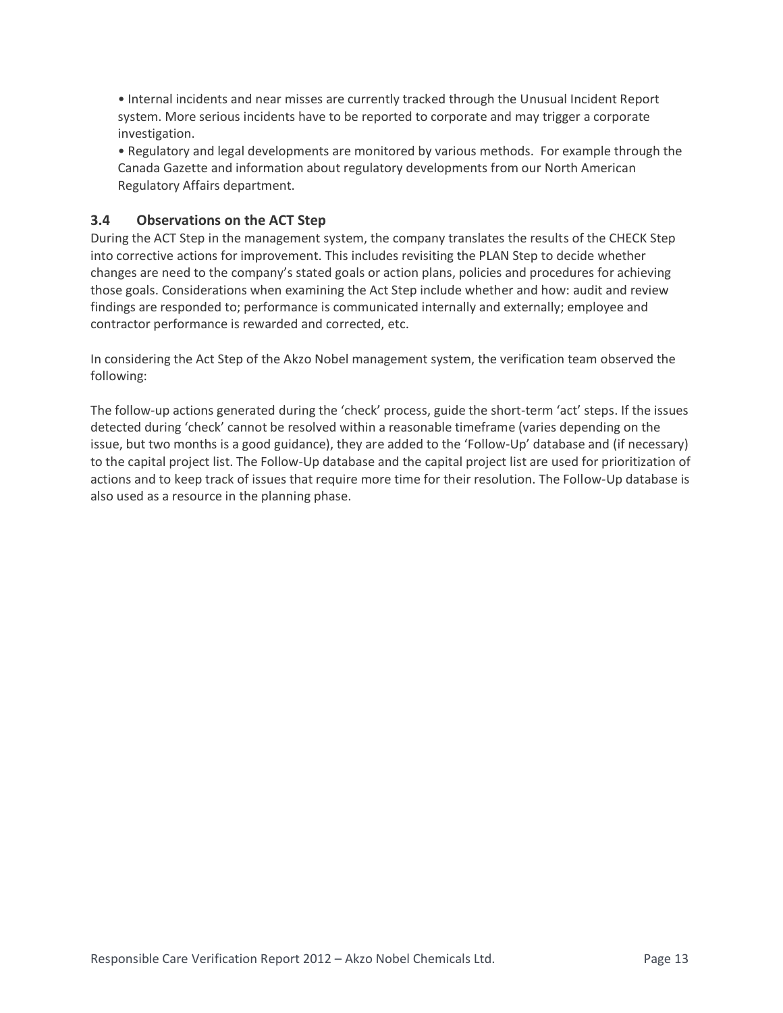• Internal incidents and near misses are currently tracked through the Unusual Incident Report system. More serious incidents have to be reported to corporate and may trigger a corporate investigation.

• Regulatory and legal developments are monitored by various methods. For example through the Canada Gazette and information about regulatory developments from our North American Regulatory Affairs department.

#### **3.4 Observations on the ACT Step**

During the ACT Step in the management system, the company translates the results of the CHECK Step into corrective actions for improvement. This includes revisiting the PLAN Step to decide whether changes are need to the company's stated goals or action plans, policies and procedures for achieving those goals. Considerations when examining the Act Step include whether and how: audit and review findings are responded to; performance is communicated internally and externally; employee and contractor performance is rewarded and corrected, etc.

In considering the Act Step of the Akzo Nobel management system, the verification team observed the following:

The follow-up actions generated during the 'check' process, guide the short-term 'act' steps. If the issues detected during 'check' cannot be resolved within a reasonable timeframe (varies depending on the issue, but two months is a good guidance), they are added to the 'Follow-Up' database and (if necessary) to the capital project list. The Follow-Up database and the capital project list are used for prioritization of actions and to keep track of issues that require more time for their resolution. The Follow-Up database is also used as a resource in the planning phase.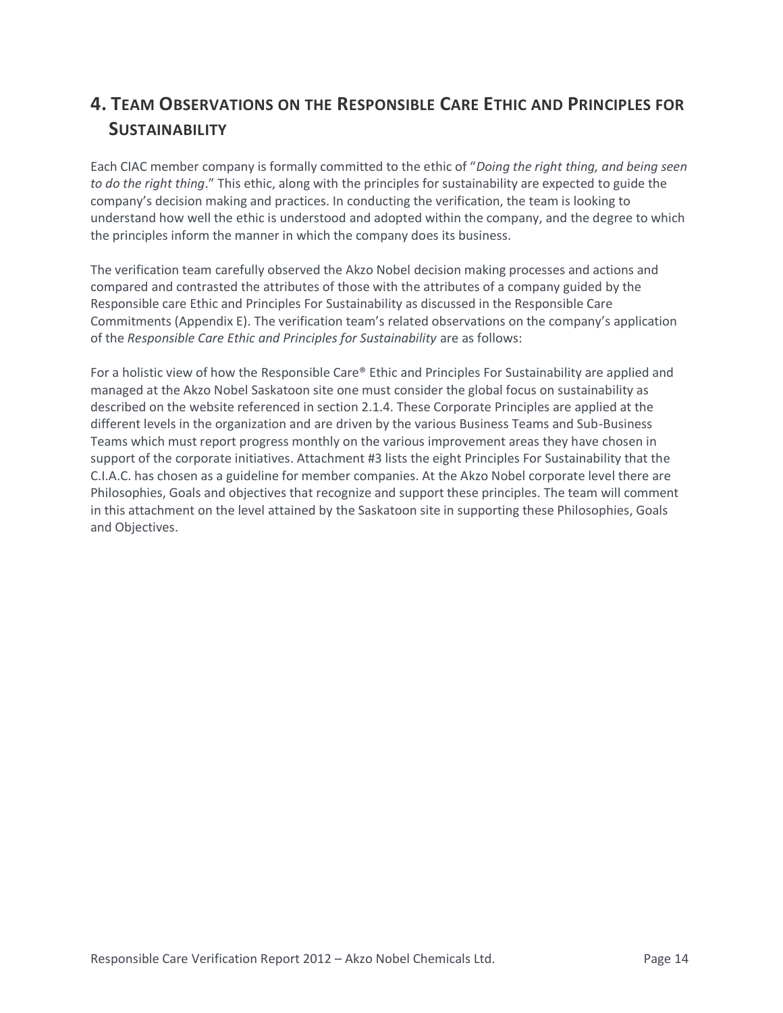# **4. TEAM OBSERVATIONS ON THE RESPONSIBLE CARE ETHIC AND PRINCIPLES FOR SUSTAINABILITY**

Each CIAC member company is formally committed to the ethic of "*Doing the right thing, and being seen to do the right thing*." This ethic, along with the principles for sustainability are expected to guide the company's decision making and practices. In conducting the verification, the team is looking to understand how well the ethic is understood and adopted within the company, and the degree to which the principles inform the manner in which the company does its business.

The verification team carefully observed the Akzo Nobel decision making processes and actions and compared and contrasted the attributes of those with the attributes of a company guided by the Responsible care Ethic and Principles For Sustainability as discussed in the Responsible Care Commitments (Appendix E). The verification team's related observations on the company's application of the *Responsible Care Ethic and Principles for Sustainability* are as follows:

For a holistic view of how the Responsible Care® Ethic and Principles For Sustainability are applied and managed at the Akzo Nobel Saskatoon site one must consider the global focus on sustainability as described on the website referenced in section 2.1.4. These Corporate Principles are applied at the different levels in the organization and are driven by the various Business Teams and Sub-Business Teams which must report progress monthly on the various improvement areas they have chosen in support of the corporate initiatives. Attachment #3 lists the eight Principles For Sustainability that the C.I.A.C. has chosen as a guideline for member companies. At the Akzo Nobel corporate level there are Philosophies, Goals and objectives that recognize and support these principles. The team will comment in this attachment on the level attained by the Saskatoon site in supporting these Philosophies, Goals and Objectives.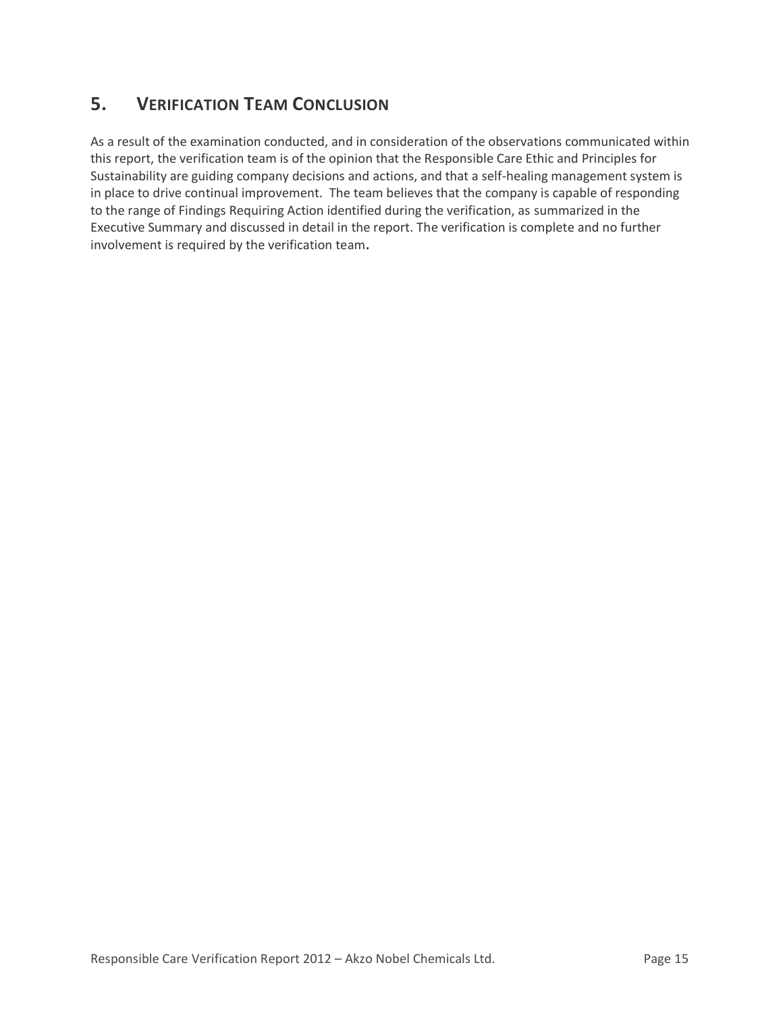# **5. VERIFICATION TEAM CONCLUSION**

As a result of the examination conducted, and in consideration of the observations communicated within this report, the verification team is of the opinion that the Responsible Care Ethic and Principles for Sustainability are guiding company decisions and actions, and that a self-healing management system is in place to drive continual improvement. The team believes that the company is capable of responding to the range of Findings Requiring Action identified during the verification, as summarized in the Executive Summary and discussed in detail in the report. The verification is complete and no further involvement is required by the verification team**.**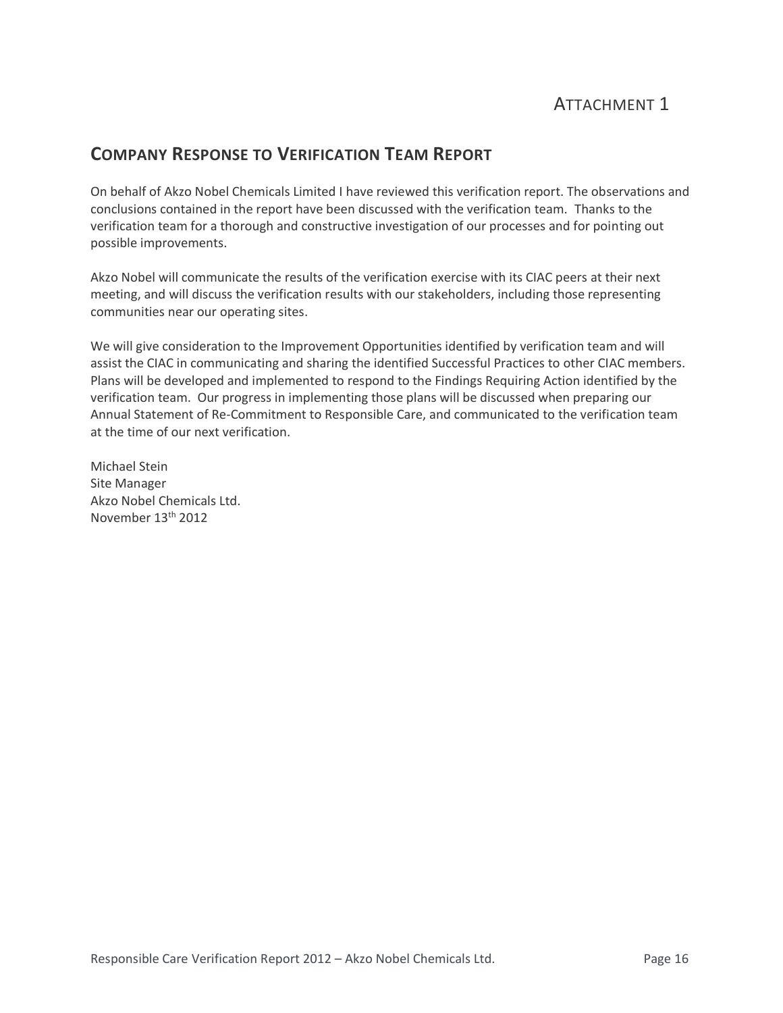# **COMPANY RESPONSE TO VERIFICATION TEAM REPORT**

On behalf of Akzo Nobel Chemicals Limited I have reviewed this verification report. The observations and conclusions contained in the report have been discussed with the verification team. Thanks to the verification team for a thorough and constructive investigation of our processes and for pointing out possible improvements.

Akzo Nobel will communicate the results of the verification exercise with its CIAC peers at their next meeting, and will discuss the verification results with our stakeholders, including those representing communities near our operating sites.

We will give consideration to the Improvement Opportunities identified by verification team and will assist the CIAC in communicating and sharing the identified Successful Practices to other CIAC members. Plans will be developed and implemented to respond to the Findings Requiring Action identified by the verification team. Our progress in implementing those plans will be discussed when preparing our Annual Statement of Re-Commitment to Responsible Care, and communicated to the verification team at the time of our next verification.

Michael Stein Site Manager Akzo Nobel Chemicals Ltd. November 13th 2012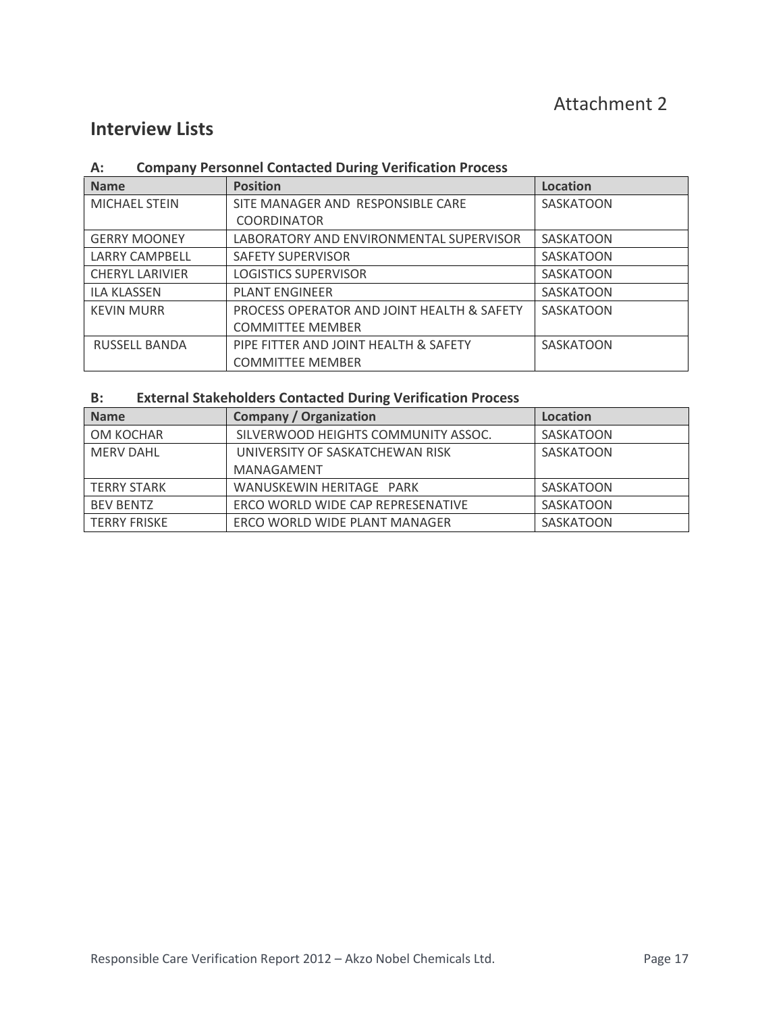# **Interview Lists**

#### **A: Company Personnel Contacted During Verification Process**

| <b>Name</b>            | <b>Position</b>                            | <b>Location</b>  |
|------------------------|--------------------------------------------|------------------|
| <b>MICHAEL STEIN</b>   | SITE MANAGER AND RESPONSIBLE CARE          | SASKATOON        |
|                        | <b>COORDINATOR</b>                         |                  |
| <b>GERRY MOONEY</b>    | LABORATORY AND ENVIRONMENTAL SUPERVISOR    | SASKATOON        |
| <b>LARRY CAMPBELL</b>  | <b>SAFETY SUPERVISOR</b>                   | SASKATOON        |
| <b>CHERYL LARIVIER</b> | <b>LOGISTICS SUPERVISOR</b>                | SASKATOON        |
| <b>ILA KLASSEN</b>     | <b>PLANT ENGINEER</b>                      | SASKATOON        |
| <b>KEVIN MURR</b>      | PROCESS OPERATOR AND JOINT HEALTH & SAFETY | SASKATOON        |
|                        | <b>COMMITTEE MEMBER</b>                    |                  |
| <b>RUSSELL BANDA</b>   | PIPE FITTER AND JOINT HEALTH & SAFETY      | <b>SASKATOON</b> |
|                        | <b>COMMITTEE MEMBER</b>                    |                  |

### **B: External Stakeholders Contacted During Verification Process**

| <b>Name</b>         | <b>Company / Organization</b>       | Location  |
|---------------------|-------------------------------------|-----------|
| OM KOCHAR           | SILVERWOOD HEIGHTS COMMUNITY ASSOC. | SASKATOON |
| <b>MERV DAHL</b>    | UNIVERSITY OF SASKATCHEWAN RISK     | SASKATOON |
|                     | MANAGAMENT                          |           |
| <b>TERRY STARK</b>  | WANUSKEWIN HERITAGE PARK            | SASKATOON |
| <b>BEV BENTZ</b>    | ERCO WORLD WIDE CAP REPRESENATIVE   | SASKATOON |
| <b>TERRY FRISKE</b> | ERCO WORLD WIDE PLANT MANAGER       | SASKATOON |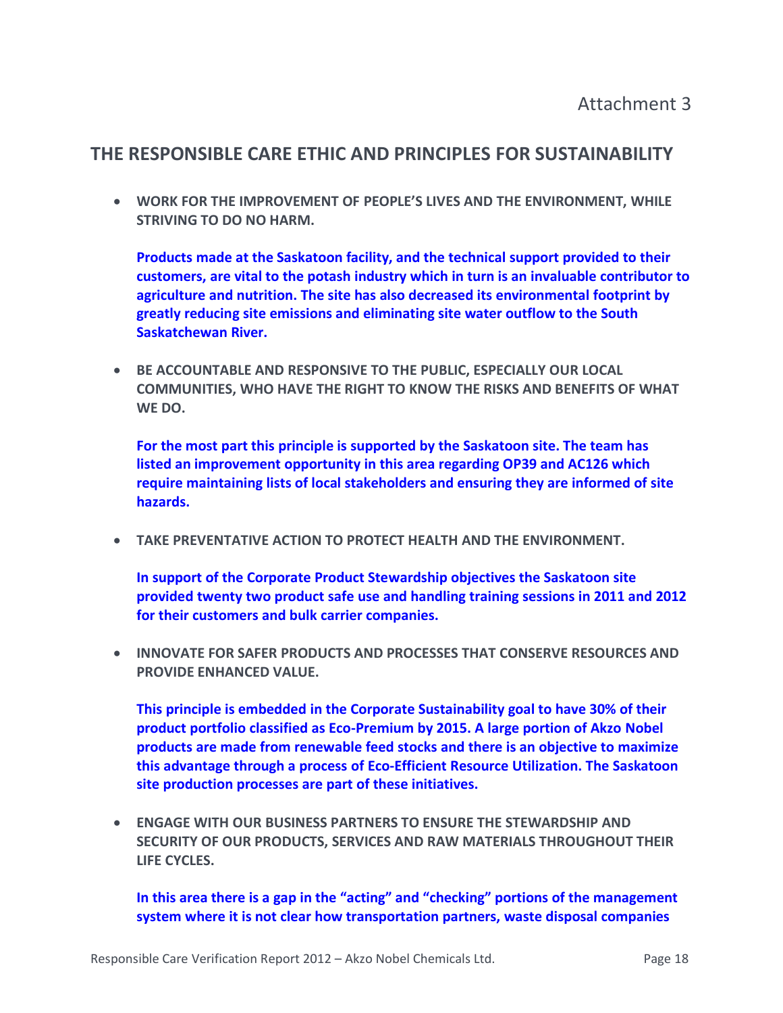# **THE RESPONSIBLE CARE ETHIC AND PRINCIPLES FOR SUSTAINABILITY**

• **WORK FOR THE IMPROVEMENT OF PEOPLE'S LIVES AND THE ENVIRONMENT, WHILE STRIVING TO DO NO HARM.**

**Products made at the Saskatoon facility, and the technical support provided to their customers, are vital to the potash industry which in turn is an invaluable contributor to agriculture and nutrition. The site has also decreased its environmental footprint by greatly reducing site emissions and eliminating site water outflow to the South Saskatchewan River.**

• **BE ACCOUNTABLE AND RESPONSIVE TO THE PUBLIC, ESPECIALLY OUR LOCAL COMMUNITIES, WHO HAVE THE RIGHT TO KNOW THE RISKS AND BENEFITS OF WHAT WE DO.** 

**For the most part this principle is supported by the Saskatoon site. The team has listed an improvement opportunity in this area regarding OP39 and AC126 which require maintaining lists of local stakeholders and ensuring they are informed of site hazards.** 

• **TAKE PREVENTATIVE ACTION TO PROTECT HEALTH AND THE ENVIRONMENT.**

**In support of the Corporate Product Stewardship objectives the Saskatoon site provided twenty two product safe use and handling training sessions in 2011 and 2012 for their customers and bulk carrier companies.**

• **INNOVATE FOR SAFER PRODUCTS AND PROCESSES THAT CONSERVE RESOURCES AND PROVIDE ENHANCED VALUE.**

**This principle is embedded in the Corporate Sustainability goal to have 30% of their product portfolio classified as Eco-Premium by 2015. A large portion of Akzo Nobel products are made from renewable feed stocks and there is an objective to maximize this advantage through a process of Eco-Efficient Resource Utilization. The Saskatoon site production processes are part of these initiatives.**

• **ENGAGE WITH OUR BUSINESS PARTNERS TO ENSURE THE STEWARDSHIP AND SECURITY OF OUR PRODUCTS, SERVICES AND RAW MATERIALS THROUGHOUT THEIR LIFE CYCLES.**

**In this area there is a gap in the "acting" and "checking" portions of the management system where it is not clear how transportation partners, waste disposal companies**